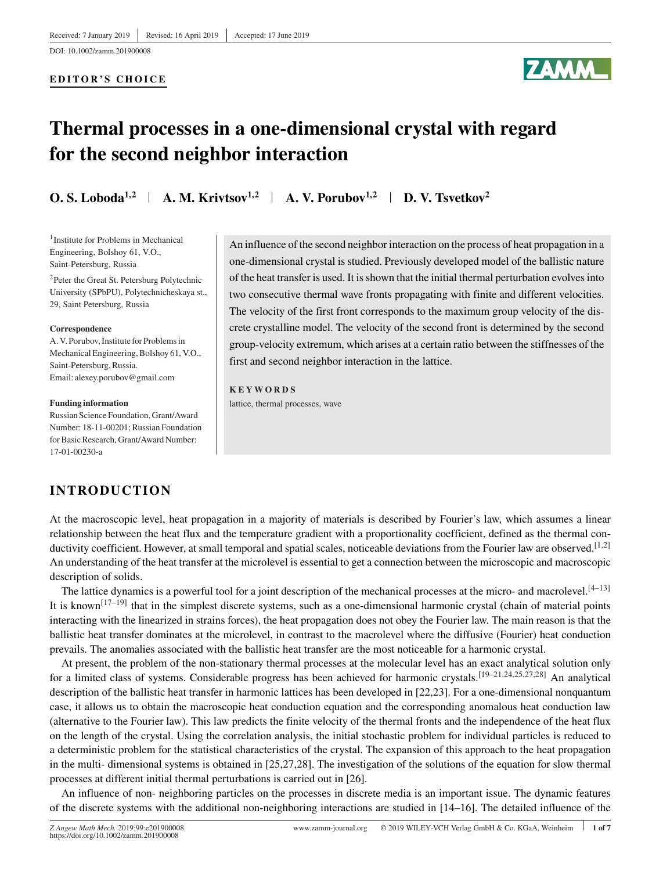DOI: 10.1002/zamm.201900008

#### **EDITOR'S CHOICE**



# **Thermal processes in a one-dimensional crystal with regard for the second neighbor interaction**

**O. S. Loboda<sup>1,2</sup> <b>A. M. Krivtsov**<sup>1,2</sup> **A. V. Porubov**<sup>1,2</sup> **D. V. Tsvetkov**<sup>2</sup>

<sup>1</sup>Institute for Problems in Mechanical Engineering, Bolshoy 61, V.O., Saint-Petersburg, Russia

2Peter the Great St. Petersburg Polytechnic University (SPbPU), Polytechnicheskaya st., 29, Saint Petersburg, Russia

#### **Correspondence**

A. V. Porubov, Institute for Problems in Mechanical Engineering, Bolshoy 61, V.O., Saint-Petersburg, Russia. Email: alexey.porubov@gmail.com

#### **Funding information**

Russian Science Foundation, Grant/Award Number: 18-11-00201; Russian Foundation for Basic Research, Grant/Award Number: 17-01-00230-a

## **INTRODUCTION**

An influence of the second neighbor interaction on the process of heat propagation in a one-dimensional crystal is studied. Previously developed model of the ballistic nature of the heat transfer is used. It is shown that the initial thermal perturbation evolves into two consecutive thermal wave fronts propagating with finite and different velocities. The velocity of the first front corresponds to the maximum group velocity of the discrete crystalline model. The velocity of the second front is determined by the second group-velocity extremum, which arises at a certain ratio between the stiffnesses of the first and second neighbor interaction in the lattice.

**KEYWORDS** lattice, thermal processes, wave

At the macroscopic level, heat propagation in a majority of materials is described by Fourier's law, which assumes a linear relationship between the heat flux and the temperature gradient with a proportionality coefficient, defined as the thermal conductivity coefficient. However, at small temporal and spatial scales, noticeable deviations from the Fourier law are observed.<sup>[1,2]</sup> An understanding of the heat transfer at the microlevel is essential to get a connection between the microscopic and macroscopic description of solids.

The lattice dynamics is a powerful tool for a joint description of the mechanical processes at the micro- and macrolevel. $[4-13]$ It is known<sup>[17–19]</sup> that in the simplest discrete systems, such as a one-dimensional harmonic crystal (chain of material points interacting with the linearized in strains forces), the heat propagation does not obey the Fourier law. The main reason is that the ballistic heat transfer dominates at the microlevel, in contrast to the macrolevel where the diffusive (Fourier) heat conduction prevails. The anomalies associated with the ballistic heat transfer are the most noticeable for a harmonic crystal.

At present, the problem of the non-stationary thermal processes at the molecular level has an exact analytical solution only for a limited class of systems. Considerable progress has been achieved for harmonic crystals.[19–21,24,25,27,28] An analytical description of the ballistic heat transfer in harmonic lattices has been developed in [22,23]. For a one-dimensional nonquantum case, it allows us to obtain the macroscopic heat conduction equation and the corresponding anomalous heat conduction law (alternative to the Fourier law). This law predicts the finite velocity of the thermal fronts and the independence of the heat flux on the length of the crystal. Using the correlation analysis, the initial stochastic problem for individual particles is reduced to a deterministic problem for the statistical characteristics of the crystal. The expansion of this approach to the heat propagation in the multi- dimensional systems is obtained in [25,27,28]. The investigation of the solutions of the equation for slow thermal processes at different initial thermal perturbations is carried out in [26].

An influence of non- neighboring particles on the processes in discrete media is an important issue. The dynamic features of the discrete systems with the additional non-neighboring interactions are studied in [14–16]. The detailed influence of the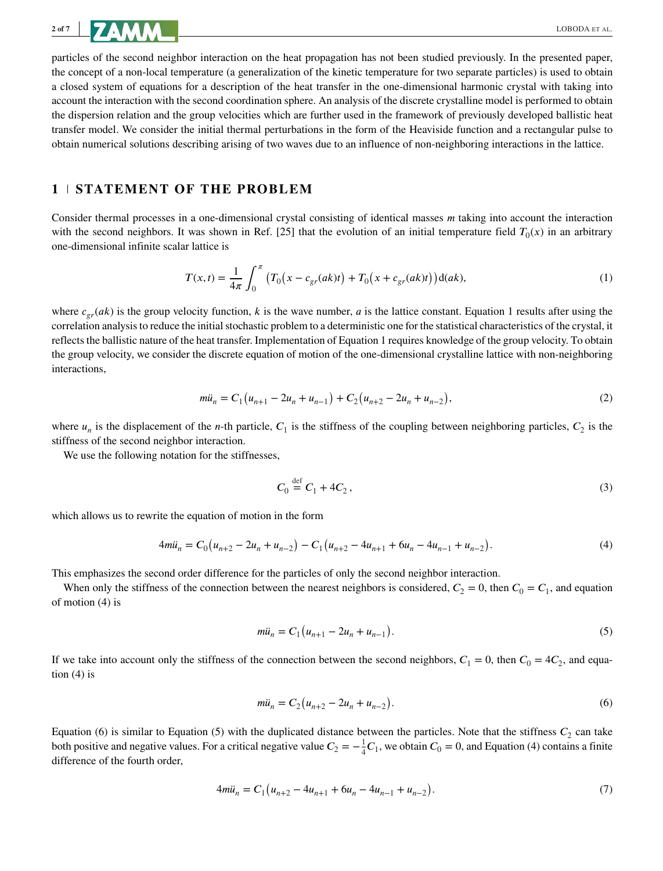particles of the second neighbor interaction on the heat propagation has not been studied previously. In the presented paper, the concept of a non-local temperature (a generalization of the kinetic temperature for two separate particles) is used to obtain a closed system of equations for a description of the heat transfer in the one-dimensional harmonic crystal with taking into account the interaction with the second coordination sphere. An analysis of the discrete crystalline model is performed to obtain the dispersion relation and the group velocities which are further used in the framework of previously developed ballistic heat transfer model. We consider the initial thermal perturbations in the form of the Heaviside function and a rectangular pulse to obtain numerical solutions describing arising of two waves due to an influence of non-neighboring interactions in the lattice.

## **1 STATEMENT OF THE PROBLEM**

Consider thermal processes in a one-dimensional crystal consisting of identical masses m taking into account the interaction with the second neighbors. It was shown in Ref. [25] that the evolution of an initial temperature field  $T_0(x)$  in an arbitrary one-dimensional infinite scalar lattice is

$$
T(x,t) = \frac{1}{4\pi} \int_0^{\pi} \left( T_0(x - c_{gr}(ak)t) + T_0(x + c_{gr}(ak)t) \right) d(ak),
$$
 (1)

where  $c_{gr}(ak)$  is the group velocity function, k is the wave number, a is the lattice constant. Equation 1 results after using the correlation analysis to reduce the initial stochastic problem to a deterministic one for the statistical characteristics of the crystal, it reflects the ballistic nature of the heat transfer. Implementation of Equation 1 requires knowledge of the group velocity. To obtain the group velocity, we consider the discrete equation of motion of the one-dimensional crystalline lattice with non-neighboring interactions,

$$
m\ddot{u}_n = C_1(u_{n+1} - 2u_n + u_{n-1}) + C_2(u_{n+2} - 2u_n + u_{n-2}),
$$
\n(2)

where  $u_n$  is the displacement of the *n*-th particle,  $C_1$  is the stiffness of the coupling between neighboring particles,  $C_2$  is the stiffness of the second neighbor interaction.

We use the following notation for the stiffnesses,

$$
C_0 \stackrel{\text{def}}{=} C_1 + 4C_2, \tag{3}
$$

which allows us to rewrite the equation of motion in the form

$$
4m\ddot{u}_n = C_0(u_{n+2} - 2u_n + u_{n-2}) - C_1(u_{n+2} - 4u_{n+1} + 6u_n - 4u_{n-1} + u_{n-2}).
$$
\n(4)

This emphasizes the second order difference for the particles of only the second neighbor interaction.

When only the stiffness of the connection between the nearest neighbors is considered,  $C_2 = 0$ , then  $C_0 = C_1$ , and equation of motion (4) is

$$
m\ddot{u}_n = C_1 \big( u_{n+1} - 2u_n + u_{n-1} \big). \tag{5}
$$

If we take into account only the stiffness of the connection between the second neighbors,  $C_1 = 0$ , then  $C_0 = 4C_2$ , and equation  $(4)$  is

$$
m\ddot{u}_n = C_2(u_{n+2} - 2u_n + u_{n-2}).
$$
\n(6)

Equation (6) is similar to Equation (5) with the duplicated distance between the particles. Note that the stiffness  $C_2$  can take both positive and negative values. For a critical negative value  $C_2 = -\frac{1}{4}C_1$ , we obtain  $C_0 = 0$ , and Equation (4) contains a finite difference of the fourth order,

$$
4m\ddot{u}_n = C_1 \left( u_{n+2} - 4u_{n+1} + 6u_n - 4u_{n-1} + u_{n-2} \right). \tag{7}
$$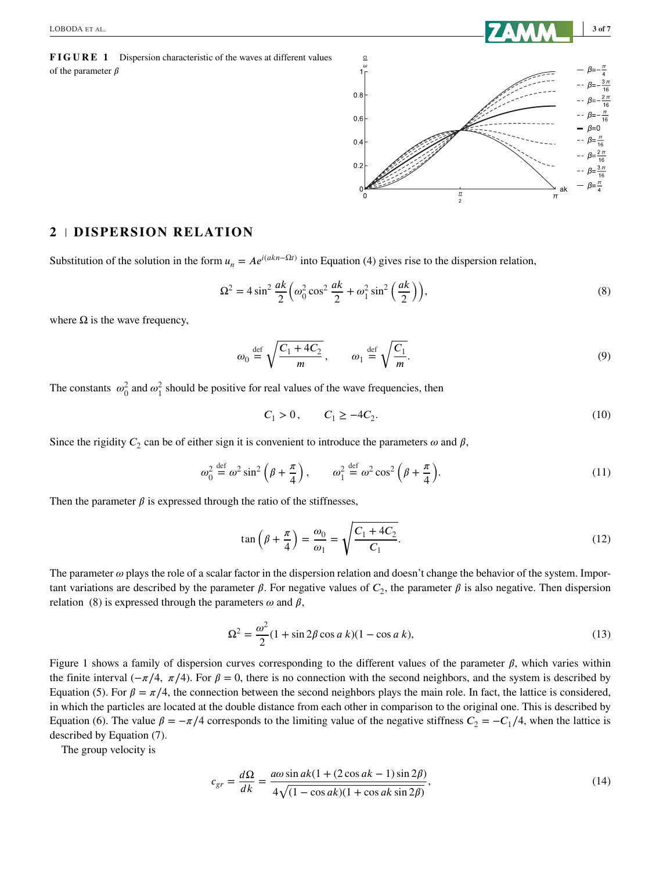**FIGURE 1** Dispersion characteristic of the waves at different values of the parameter  $\beta$ 



#### **2 DISPERSION RELATION**

Substitution of the solution in the form  $u_n = Ae^{i(akn-\Omega t)}$  into Equation (4) gives rise to the dispersion relation,

$$
\Omega^2 = 4\sin^2\frac{ak}{2}\left(\omega_0^2\cos^2\frac{ak}{2} + \omega_1^2\sin^2\left(\frac{ak}{2}\right)\right),\tag{8}
$$

where  $\Omega$  is the wave frequency,

$$
\omega_0 \stackrel{\text{def}}{=} \sqrt{\frac{C_1 + 4C_2}{m}}, \qquad \omega_1 \stackrel{\text{def}}{=} \sqrt{\frac{C_1}{m}}.
$$
\n(9)

The constants  $\omega_0^2$  and  $\omega_1^2$  should be positive for real values of the wave frequencies, then

$$
C_1 > 0, \qquad C_1 \ge -4C_2. \tag{10}
$$

Since the rigidity  $C_2$  can be of either sign it is convenient to introduce the parameters  $\omega$  and  $\beta$ ,

$$
\omega_0^2 \stackrel{\text{def}}{=} \omega^2 \sin^2 \left( \beta + \frac{\pi}{4} \right), \qquad \omega_1^2 \stackrel{\text{def}}{=} \omega^2 \cos^2 \left( \beta + \frac{\pi}{4} \right). \tag{11}
$$

Then the parameter  $\beta$  is expressed through the ratio of the stiffnesses,

$$
\tan\left(\beta + \frac{\pi}{4}\right) = \frac{\omega_0}{\omega_1} = \sqrt{\frac{C_1 + 4C_2}{C_1}}.\tag{12}
$$

The parameter  $\omega$  plays the role of a scalar factor in the dispersion relation and doesn't change the behavior of the system. Important variations are described by the parameter  $\beta$ . For negative values of  $C_2$ , the parameter  $\beta$  is also negative. Then dispersion relation (8) is expressed through the parameters  $\omega$  and  $\beta$ ,

$$
\Omega^2 = \frac{\omega^2}{2} (1 + \sin 2\beta \cos a \ k)(1 - \cos a \ k),
$$
\n(13)

Figure 1 shows a family of dispersion curves corresponding to the different values of the parameter  $\beta$ , which varies within the finite interval ( $-\pi/4$ ,  $\pi/4$ ). For  $\beta = 0$ , there is no connection with the second neighbors, and the system is described by Equation (5). For  $\beta = \pi/4$ , the connection between the second neighbors plays the main role. In fact, the lattice is considered, in which the particles are located at the double distance from each other in comparison to the original one. This is described by Equation (6). The value  $\beta = -\pi/4$  corresponds to the limiting value of the negative stiffness  $C_2 = -C_1/4$ , when the lattice is described by Equation (7).

The group velocity is

$$
c_{gr} = \frac{d\Omega}{dk} = \frac{a\omega\sin ak(1 + (2\cos ak - 1)\sin 2\beta)}{4\sqrt{(1 - \cos ak)(1 + \cos ak \sin 2\beta)}},
$$
\n(14)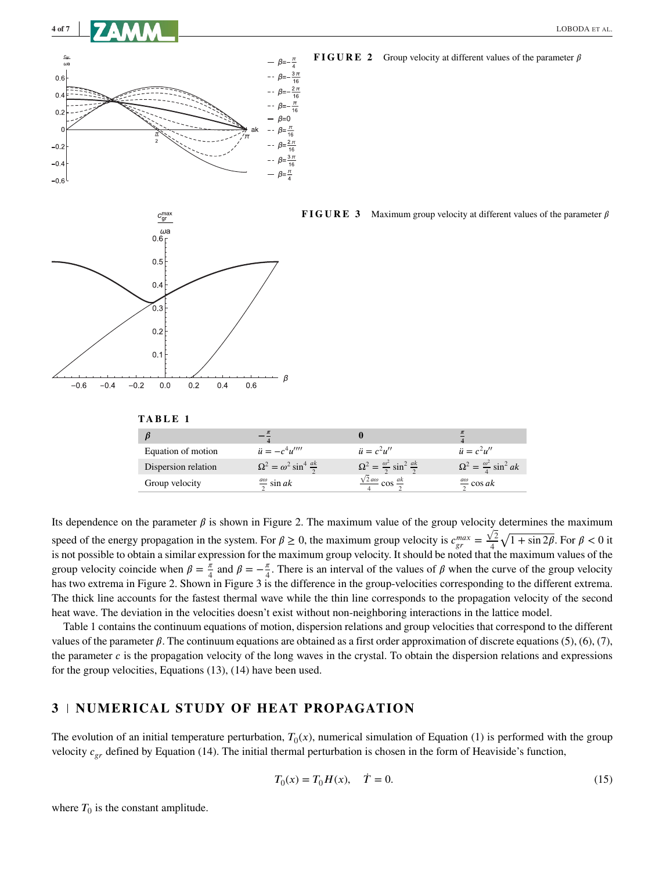



**FIGURE 2** Group velocity at different values of the parameter  $\beta$ 





**TABLE 1**

| ß                   |                                           |                                                     |                                           |
|---------------------|-------------------------------------------|-----------------------------------------------------|-------------------------------------------|
| Equation of motion  | $\ddot{u} = -c^4 u'''$                    | $\ddot{u} = c^2 u''$                                | $\ddot{u} = c^2 u''$                      |
| Dispersion relation | $\Omega^2 = \omega^2 \sin^4 \frac{ak}{2}$ | $\Omega^2 = \frac{\omega^2}{2} \sin^2 \frac{ak}{2}$ | $\Omega^2 = \frac{\omega^2}{4} \sin^2 ak$ |
| Group velocity      | $\frac{d\omega}{2}$ sin ak                | $\frac{\sqrt{2} a \omega}{4} \cos \frac{ak}{2}$     | $\frac{a\omega}{2}$ cos ak                |

Its dependence on the parameter  $\beta$  is shown in Figure 2. The maximum value of the group velocity determines the maximum speed of the energy propagation in the system. For  $\beta \ge 0$ , the maximum group velocity is  $c_{gr}^{max} = \frac{\sqrt{2}}{4}$  $\frac{\sqrt{2}}{4}\sqrt{1+\sin 2\beta}$ . For  $\beta < 0$  it is not possible to obtain a similar expression for the maximum group velocity. It should be noted that the maximum values of the group velocity coincide when  $\beta = \frac{\pi}{4}$  and  $\beta = -\frac{\pi}{4}$ . There is an interval of the values of  $\beta$  when the curve of the group velocity has two extrema in Figure 2. Shown in Figure 3 is the difference in the group-velocities corresponding to the different extrema. The thick line accounts for the fastest thermal wave while the thin line corresponds to the propagation velocity of the second heat wave. The deviation in the velocities doesn't exist without non-neighboring interactions in the lattice model.

Table 1 contains the continuum equations of motion, dispersion relations and group velocities that correspond to the different values of the parameter  $\beta$ . The continuum equations are obtained as a first order approximation of discrete equations (5), (6), (7), the parameter c is the propagation velocity of the long waves in the crystal. To obtain the dispersion relations and expressions for the group velocities, Equations (13), (14) have been used.

#### **3 NUMERICAL STUDY OF HEAT PROPAGATION**

The evolution of an initial temperature perturbation,  $T_0(x)$ , numerical simulation of Equation (1) is performed with the group velocity  $c_{er}$  defined by Equation (14). The initial thermal perturbation is chosen in the form of Heaviside's function,

$$
T_0(x) = T_0 H(x), \quad \dot{T} = 0.
$$
\n(15)

where  $T_0$  is the constant amplitude.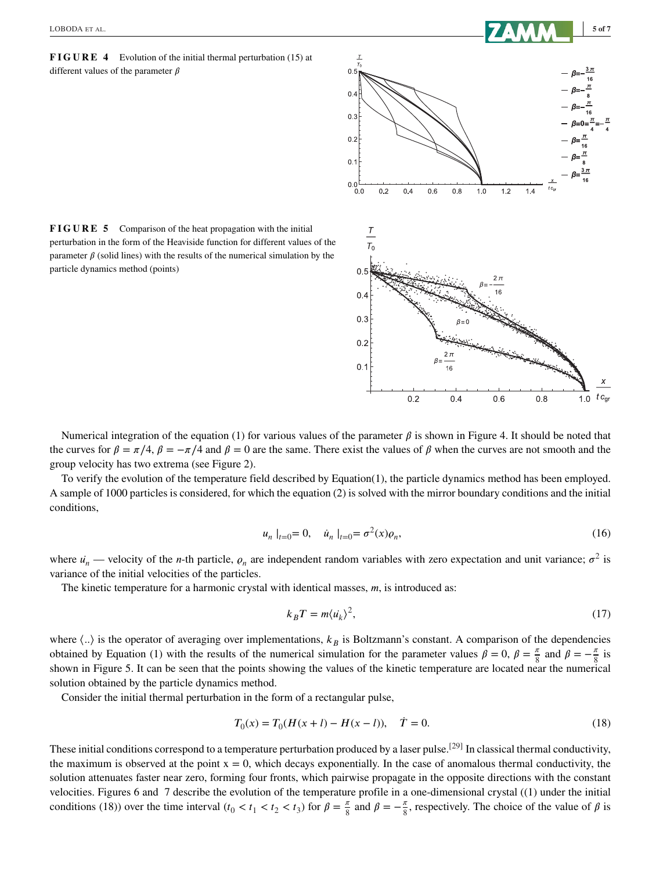**FIGURE 4** Evolution of the initial thermal perturbation (15) at different values of the parameter  $\beta$ 



**FIGURE 5** Comparison of the heat propagation with the initial perturbation in the form of the Heaviside function for different values of the parameter  $\beta$  (solid lines) with the results of the numerical simulation by the particle dynamics method (points)

Numerical integration of the equation (1) for various values of the parameter  $\beta$  is shown in Figure 4. It should be noted that the curves for  $\beta = \pi/4$ ,  $\beta = -\pi/4$  and  $\beta = 0$  are the same. There exist the values of  $\beta$  when the curves are not smooth and the group velocity has two extrema (see Figure 2).

To verify the evolution of the temperature field described by Equation(1), the particle dynamics method has been employed. A sample of 1000 particles is considered, for which the equation (2) is solved with the mirror boundary conditions and the initial conditions,

$$
u_n |_{t=0} = 0, \quad \dot{u}_n |_{t=0} = \sigma^2(x)\rho_n,\tag{16}
$$

where  $u_n$  — velocity of the *n*-th particle,  $\rho_n$  are independent random variables with zero expectation and unit variance;  $\sigma^2$  is variance of the initial velocities of the particles.

The kinetic temperature for a harmonic crystal with identical masses,  $m$ , is introduced as:

$$
k_B T = m \langle \dot{u_k} \rangle^2, \tag{17}
$$

where  $\langle . \rangle$  is the operator of averaging over implementations,  $k_B$  is Boltzmann's constant. A comparison of the dependencies obtained by Equation (1) with the results of the numerical simulation for the parameter values  $\beta = 0$ ,  $\beta = \frac{\pi}{8}$  and  $\beta = -\frac{\pi}{8}$  is shown in Figure 5. It can be seen that the points showing the values of the kinetic temperature are located near the numerical solution obtained by the particle dynamics method.

Consider the initial thermal perturbation in the form of a rectangular pulse,

$$
T_0(x) = T_0(H(x+l) - H(x-l)), \quad \dot{T} = 0.
$$
\n(18)

These initial conditions correspond to a temperature perturbation produced by a laser pulse.<sup>[29]</sup> In classical thermal conductivity, the maximum is observed at the point  $x = 0$ , which decays exponentially. In the case of anomalous thermal conductivity, the solution attenuates faster near zero, forming four fronts, which pairwise propagate in the opposite directions with the constant velocities. Figures 6 and 7 describe the evolution of the temperature profile in a one-dimensional crystal ((1) under the initial conditions (18)) over the time interval  $(t_0 < t_1 < t_2 < t_3)$  for  $\beta = \frac{\pi}{8}$  and  $\beta = -\frac{\pi}{8}$ , respectively. The choice of the value of  $\beta$  is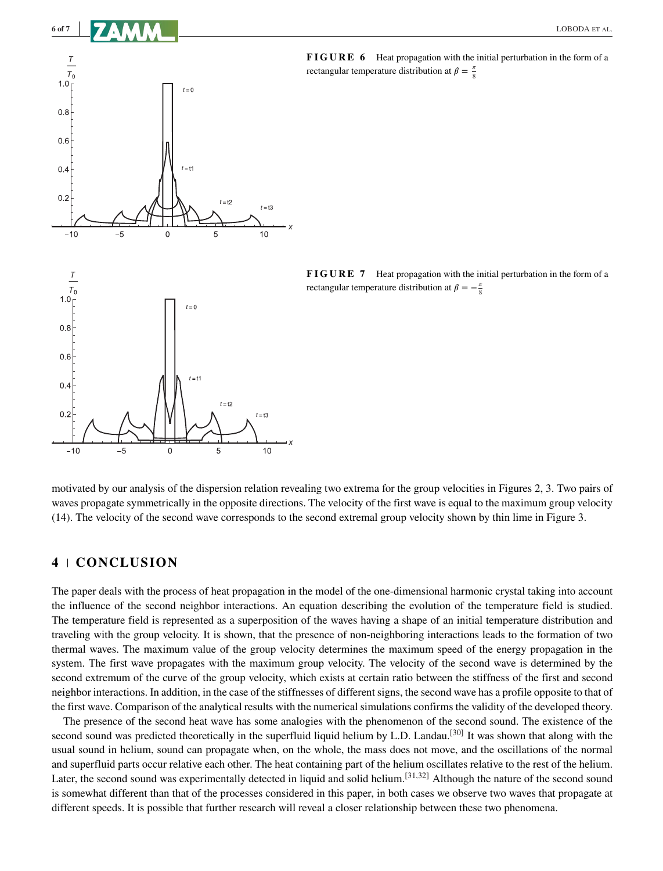

 $\overline{0}$ 

5

**FIGURE 6** Heat propagation with the initial perturbation in the form of a rectangular temperature distribution at  $\beta = \frac{\pi}{8}$ 

**FIGURE 7** Heat propagation with the initial perturbation in the form of a rectangular temperature distribution at  $\beta = -\frac{\pi}{8}$ 

motivated by our analysis of the dispersion relation revealing two extrema for the group velocities in Figures 2, 3. Two pairs of waves propagate symmetrically in the opposite directions. The velocity of the first wave is equal to the maximum group velocity (14). The velocity of the second wave corresponds to the second extremal group velocity shown by thin lime in Figure 3.

*x*

 $10$ 

## **4 CONCLUSION**

 $-5$ 

 $-10$ 

The paper deals with the process of heat propagation in the model of the one-dimensional harmonic crystal taking into account the influence of the second neighbor interactions. An equation describing the evolution of the temperature field is studied. The temperature field is represented as a superposition of the waves having a shape of an initial temperature distribution and traveling with the group velocity. It is shown, that the presence of non-neighboring interactions leads to the formation of two thermal waves. The maximum value of the group velocity determines the maximum speed of the energy propagation in the system. The first wave propagates with the maximum group velocity. The velocity of the second wave is determined by the second extremum of the curve of the group velocity, which exists at certain ratio between the stiffness of the first and second neighbor interactions. In addition, in the case of the stiffnesses of different signs, the second wave has a profile opposite to that of the first wave. Comparison of the analytical results with the numerical simulations confirms the validity of the developed theory.

The presence of the second heat wave has some analogies with the phenomenon of the second sound. The existence of the second sound was predicted theoretically in the superfluid liquid helium by L.D. Landau.<sup>[30]</sup> It was shown that along with the usual sound in helium, sound can propagate when, on the whole, the mass does not move, and the oscillations of the normal and superfluid parts occur relative each other. The heat containing part of the helium oscillates relative to the rest of the helium. Later, the second sound was experimentally detected in liquid and solid helium.<sup>[31,32]</sup> Although the nature of the second sound is somewhat different than that of the processes considered in this paper, in both cases we observe two waves that propagate at different speeds. It is possible that further research will reveal a closer relationship between these two phenomena.